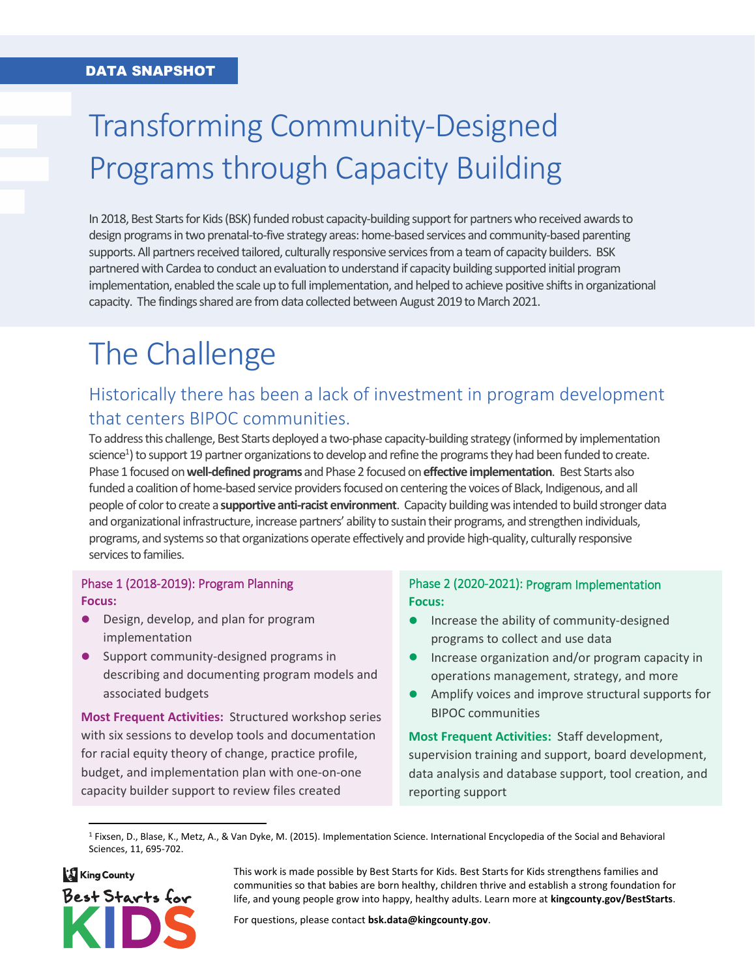# Transforming Community-Designed Programs through Capacity Building

In 2018, Best Starts for Kids (BSK) funded robust capacity-building support for partnerswho received awards to design programs in two prenatal-to-five strategy areas: home-based services and community-based parenting supports. All partners received tailored, culturally responsive services from a team of capacity builders. BSK partnered with Cardea to conduct an evaluation to understand if capacity building supported initial program implementation, enabled the scale up to full implementation, and helped to achieve positive shifts in organizational capacity. The findings shared are from data collected between August 2019 to March 2021.

# The Challenge

## Historically there has been a lack of investment in program development that centers BIPOC communities.

To address this challenge, Best Starts deployed a two-phase capacity-building strategy (informed by implementation science<sup>1</sup>) to support 19 partner organizations to develop and refine the programs they had been funded to create. Phase 1 focused on **well-defined programs** and Phase 2 focused on **effective implementation**. Best Starts also funded a coalition of home-based service providers focused on centering the voices of Black, Indigenous, and all people of color to create a **supportive anti-racist environment**. Capacity building was intended to build stronger data and organizational infrastructure, increase partners' ability to sustain their programs, and strengthen individuals, programs, and systems so that organizations operate effectively and provide high-quality, culturally responsive services to families.

#### Phase 1 (2018-2019): Program Planning **Focus:**

- Design, develop, and plan for program implementation
- Support community-designed programs in describing and documenting program models and associated budgets

**Most Frequent Activities:** Structured workshop series with six sessions to develop tools and documentation for racial equity theory of change, practice profile, budget, and implementation plan with one-on-one capacity builder support to review files created

#### Phase 2 (2020-2021): Program Implementation **Focus:**

- Increase the ability of community-designed programs to collect and use data
- **•** Increase organization and/or program capacity in operations management, strategy, and more
- Amplify voices and improve structural supports for BIPOC communities

**Most Frequent Activities:** Staff development, supervision training and support, board development, data analysis and database support, tool creation, and reporting support

<sup>1</sup> Fixsen, D., Blase, K., Metz, A., & Van Dyke, M. (2015). Implementation Science. International Encyclopedia of the Social and Behavioral Sciences, 11, 695-702.



 $\overline{\phantom{a}}$ 

This work is made possible by Best Starts for Kids. Best Starts for Kids strengthens families and communities so that babies are born healthy, children thrive and establish a strong foundation for life, and young people grow into happy, healthy adults. Learn more at **[kingcounty.gov/BestStarts](mailto:https://www.kingcounty.gov/depts/community-human-services/initiatives/best-starts-for-kids.aspx)**.

For questions, please contact **[bsk.data@kingcounty.gov](mailto:bsk.data@kingcounty.gov)**.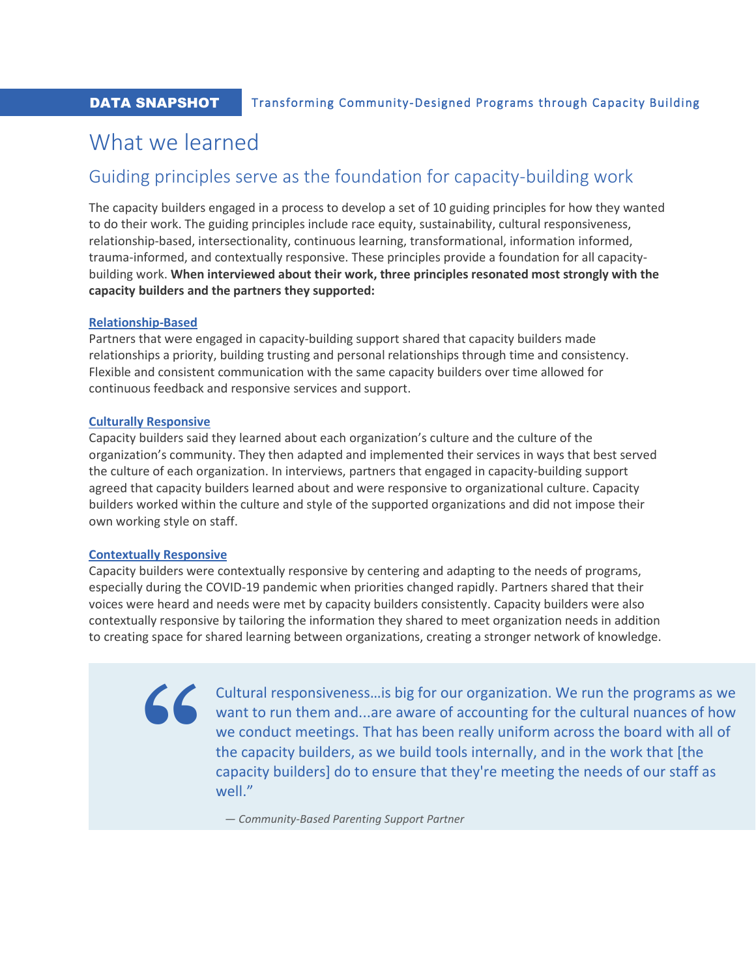## What we learned

## Guiding principles serve as the foundation for capacity-building work

The capacity builders engaged in a process to develop a set of 10 guiding principles for how they wanted to do their work. The guiding principles include race equity, sustainability, cultural responsiveness, relationship-based, intersectionality, continuous learning, transformational, information informed, trauma-informed, and contextually responsive. These principles provide a foundation for all capacitybuilding work. **When interviewed about their work, three principles resonated most strongly with the capacity builders and the partners they supported:**

#### **Relationship-Based**

Partners that were engaged in capacity-building support shared that capacity builders made relationships a priority, building trusting and personal relationships through time and consistency. Flexible and consistent communication with the same capacity builders over time allowed for continuous feedback and responsive services and support.

#### **Culturally Responsive**

Capacity builders said they learned about each organization's culture and the culture of the organization's community. They then adapted and implemented their services in ways that best served the culture of each organization. In interviews, partners that engaged in capacity-building support agreed that capacity builders learned about and were responsive to organizational culture. Capacity builders worked within the culture and style of the supported organizations and did not impose their own working style on staff.

#### **Contextually Responsive**

**"**

Capacity builders were contextually responsive by centering and adapting to the needs of programs, especially during the COVID-19 pandemic when priorities changed rapidly. Partners shared that their voices were heard and needs were met by capacity builders consistently. Capacity builders were also contextually responsive by tailoring the information they shared to meet organization needs in addition to creating space for shared learning between organizations, creating a stronger network of knowledge.

> Cultural responsiveness…is big for our organization. We run the programs as we want to run them and...are aware of accounting for the cultural nuances of how we conduct meetings. That has been really uniform across the board with all of the capacity builders, as we build tools internally, and in the work that [the capacity builders] do to ensure that they're meeting the needs of our staff as well."

*— Community-Based Parenting Support Partner*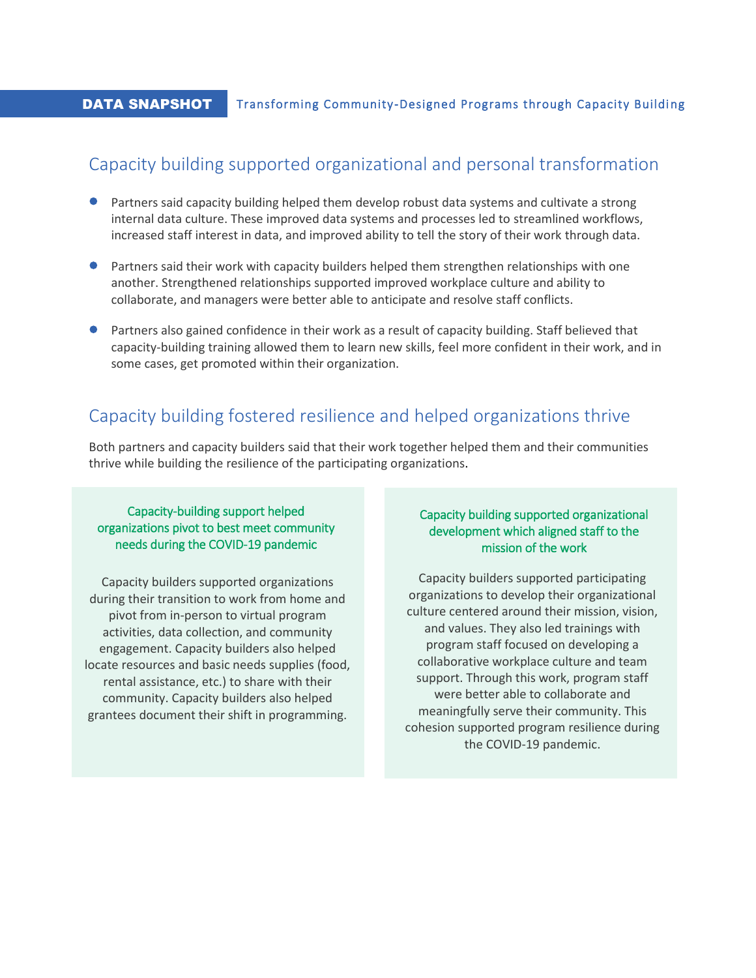#### **DATA SNAPSHOT** Transforming Community-Designed Programs through Capacity Building

### Capacity building supported organizational and personal transformation

- Partners said capacity building helped them develop robust data systems and cultivate a strong internal data culture. These improved data systems and processes led to streamlined workflows, increased staff interest in data, and improved ability to tell the story of their work through data.
- Partners said their work with capacity builders helped them strengthen relationships with one another. Strengthened relationships supported improved workplace culture and ability to collaborate, and managers were better able to anticipate and resolve staff conflicts.
- Partners also gained confidence in their work as a result of capacity building. Staff believed that capacity-building training allowed them to learn new skills, feel more confident in their work, and in some cases, get promoted within their organization.

## Capacity building fostered resilience and helped organizations thrive

Both partners and capacity builders said that their work together helped them and their communities thrive while building the resilience of the participating organizations.

#### Capacity-building support helped organizations pivot to best meet community needs during the COVID-19 pandemic

Capacity builders supported organizations during their transition to work from home and pivot from in-person to virtual program activities, data collection, and community engagement. Capacity builders also helped locate resources and basic needs supplies (food, rental assistance, etc.) to share with their community. Capacity builders also helped grantees document their shift in programming.

#### Capacity building supported organizational development which aligned staff to the mission of the work

Capacity builders supported participating organizations to develop their organizational culture centered around their mission, vision, and values. They also led trainings with program staff focused on developing a collaborative workplace culture and team support. Through this work, program staff were better able to collaborate and meaningfully serve their community. This cohesion supported program resilience during the COVID-19 pandemic.